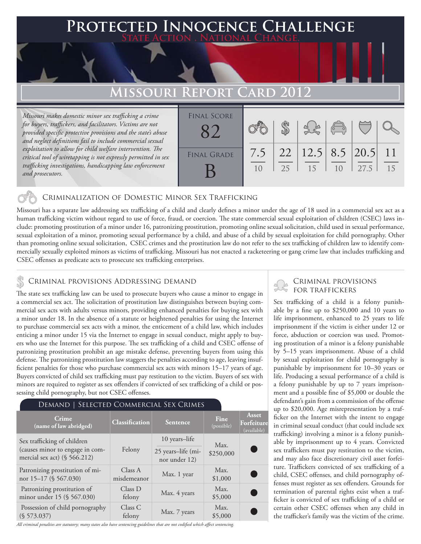## **PTED INNOCENCE CHALLENGE State Action . National Change.**

# **Missouri Report Card 2012**

*Missouri makes domestic minor sex trafficking a crime for buyers, traffickers, and facilitators. Victims are not provided specific protective provisions and the state's abuse and neglect definitions fail to include commercial sexual exploitation to allow for child welfare intervention. The critical tool of wiretapping is not expressly permitted in sex trafficking investigations, handicapping law enforcement and prosecutors.*

| <b>FINAL SCORE</b> |     |          |                             | $\sqrt{\frac{1}{2}}$ |      |                 |
|--------------------|-----|----------|-----------------------------|----------------------|------|-----------------|
| <b>FINAL GRADE</b> | 7.5 | 22<br>25 | $12.5$   8.5   20.5  <br>15 | 1 <sub>0</sub>       | 27.5 | $\overline{11}$ |

## Criminalization of Domestic Minor Sex Trafficking

Missouri has a separate law addressing sex trafficking of a child and clearly defines a minor under the age of 18 used in a commercial sex act as a human trafficking victim without regard to use of force, fraud, or coercion. The state commercial sexual exploitation of children (CSEC) laws include: promoting prostitution of a minor under 16, patronizing prostitution, promoting online sexual solicitation, child used in sexual performance, sexual exploitation of a minor, promoting sexual performance by a child, and abuse of a child by sexual exploitation for child pornography. Other than promoting online sexual solicitation, CSEC crimes and the prostitution law do not refer to the sex trafficking of children law to identify commercially sexually exploited minors as victims of trafficking. Missouri has not enacted a racketeering or gang crime law that includes trafficking and CSEC offenses as predicate acts to prosecute sex trafficking enterprises.

## CRIMINAL PROVISIONS ADDRESSING DEMAND<br>FOR TRAFFICKERS

The state sex trafficking law can be used to prosecute buyers who cause a minor to engage in a commercial sex act. The solicitation of prostitution law distinguishes between buying commercial sex acts with adults versus minors, providing enhanced penalties for buying sex with a minor under 18. In the absence of a statute or heightened penalties for using the Internet to purchase commercial sex acts with a minor, the enticement of a child law, which includes enticing a minor under 15 via the Internet to engage in sexual conduct, might apply to buyers who use the Internet for this purpose. The sex trafficking of a child and CSEC offense of patronizing prostitution prohibit an age mistake defense, preventing buyers from using this defense. The patronizing prostitution law staggers the penalties according to age, leaving insufficient penalties for those who purchase commercial sex acts with minors 15–17 years of age. Buyers convicted of child sex trafficking must pay restitution to the victim. Buyers of sex with minors are required to register as sex offenders if convicted of sex trafficking of a child or possessing child pornography, but not CSEC offenses.

## Demand | Selected Commercial Sex Crimes

| Crime<br>(name of law abridged)                                    | Classification         | <b>Sentence</b>                     | Fine<br>(possible) | <b>Asset</b><br>Forfeiture<br>(available) |
|--------------------------------------------------------------------|------------------------|-------------------------------------|--------------------|-------------------------------------------|
| Sex trafficking of children                                        | Felony                 | 10 years-life                       | Max.               |                                           |
| (causes minor to engage in com-<br>mercial sex act) $(\S 566.212)$ |                        | 25 years-life (mi-<br>nor under 12) | \$250,000          |                                           |
| Patronizing prostitution of mi-<br>nor 15-17 (§ 567.030)           | Class A<br>misdemeanor | Max. 1 year                         | Max.<br>\$1,000    | C.                                        |
| Patronizing prostitution of<br>minor under 15 (§ 567.030)          | Class D<br>felony      | Max. 4 years                        | Max.<br>\$5,000    | $\blacksquare$                            |
| Possession of child pornography<br>(S 573.037)                     | Class C<br>felony      | Max. 7 years                        | Max.<br>\$5,000    |                                           |

*All criminal penalties are statutory; many states also have sentencing guidelines that are not codified which affect sentencing.* 

# Criminal provisions

Sex trafficking of a child is a felony punishable by a fine up to \$250,000 and 10 years to life imprisonment, enhanced to 25 years to life imprisonment if the victim is either under 12 or force, abduction or coercion was used. Promoting prostitution of a minor is a felony punishable by 5–15 years imprisonment. Abuse of a child by sexual exploitation for child pornography is punishable by imprisonment for 10–30 years or life. Producing a sexual performance of a child is a felony punishable by up to 7 years imprisonment and a possible fine of \$5,000 or double the defendant's gain from a commission of the offense up to \$20,000. Age misrepresentation by a trafficker on the Internet with the intent to engage in criminal sexual conduct (that could include sex trafficking) involving a minor is a felony punishable by imprisonment up to 4 years. Convicted sex traffickers must pay restitution to the victim, and may also face discretionary civil asset forfeiture. Traffickers convicted of sex trafficking of a child, CSEC offenses, and child pornography offenses must register as sex offenders. Grounds for termination of parental rights exist when a trafficker is convicted of sex trafficking of a child or certain other CSEC offenses when any child in the trafficker's family was the victim of the crime.